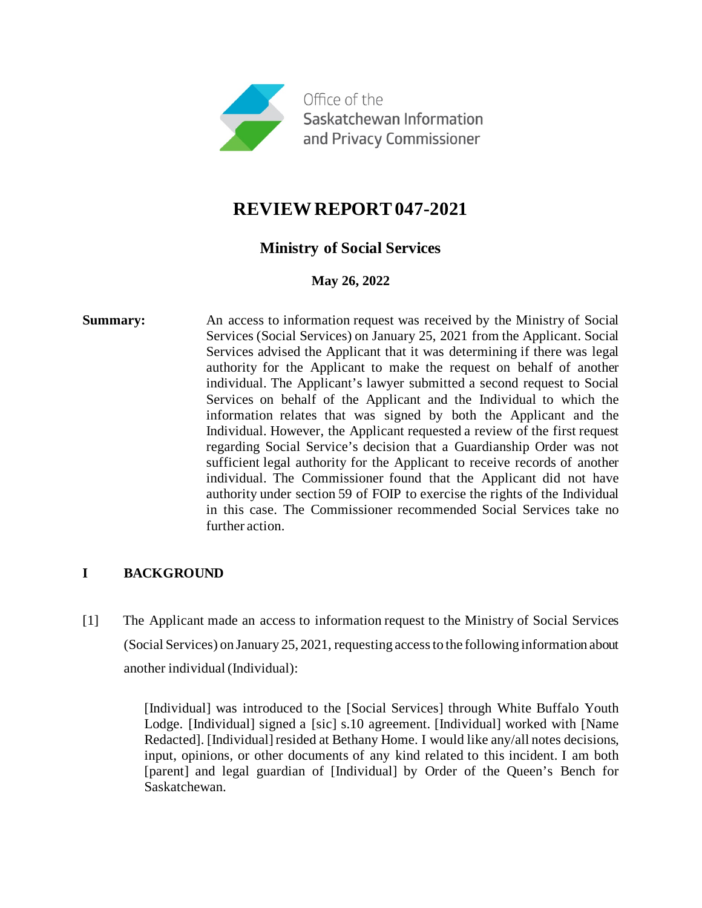

# **REVIEW REPORT 047-2021**

# **Ministry of Social Services**

# **May 26, 2022**

**Summary:** An access to information request was received by the Ministry of Social Services (Social Services) on January 25, 2021 from the Applicant. Social Services advised the Applicant that it was determining if there was legal authority for the Applicant to make the request on behalf of another individual. The Applicant's lawyer submitted a second request to Social Services on behalf of the Applicant and the Individual to which the information relates that was signed by both the Applicant and the Individual. However, the Applicant requested a review of the first request regarding Social Service's decision that a Guardianship Order was not sufficient legal authority for the Applicant to receive records of another individual. The Commissioner found that the Applicant did not have authority under section 59 of FOIP to exercise the rights of the Individual in this case. The Commissioner recommended Social Services take no further action.

# **I BACKGROUND**

[1] The Applicant made an access to information request to the Ministry of Social Services (Social Services) on January 25, 2021, requesting access to the following information about another individual (Individual):

> [Individual] was introduced to the [Social Services] through White Buffalo Youth Lodge. [Individual] signed a [sic] s.10 agreement. [Individual] worked with [Name Redacted]. [Individual] resided at Bethany Home. I would like any/all notes decisions, input, opinions, or other documents of any kind related to this incident. I am both [parent] and legal guardian of [Individual] by Order of the Queen's Bench for Saskatchewan.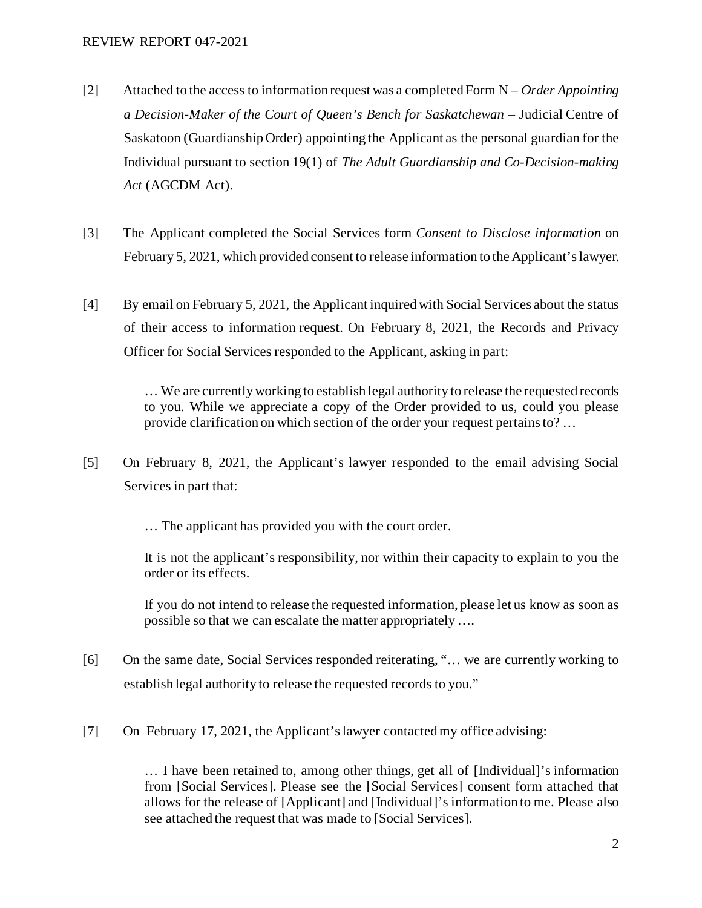- [2] Attached to the access to information request was a completed Form N *Order Appointing a Decision-Maker of the Court of Queen's Bench for Saskatchewan* – Judicial Centre of Saskatoon (Guardianship Order) appointing the Applicant as the personal guardian for the Individual pursuant to section 19(1) of *The Adult Guardianship and Co-Decision-making Act* (AGCDM Act).
- [3] The Applicant completed the Social Services form *Consent to Disclose information* on February 5, 2021, which provided consent to release information to the Applicant's lawyer.
- [4] By email on February 5, 2021, the Applicant inquired with Social Services about the status of their access to information request. On February 8, 2021, the Records and Privacy Officer for Social Services responded to the Applicant, asking in part:

… We are currently working to establish legal authority to release the requested records to you. While we appreciate a copy of the Order provided to us, could you please provide clarification on which section of the order your request pertains to? …

- [5] On February 8, 2021, the Applicant's lawyer responded to the email advising Social Services in part that:
	- … The applicant has provided you with the court order.

It is not the applicant's responsibility, nor within their capacity to explain to you the order or its effects.

If you do not intend to release the requested information, please let us know as soon as possible so that we can escalate the matter appropriately ….

- [6] On the same date, Social Services responded reiterating, "... we are currently working to establish legal authority to release the requested records to you."
- [7] On February 17, 2021, the Applicant's lawyer contacted my office advising:

… I have been retained to, among other things, get all of [Individual]'s information from [Social Services]. Please see the [Social Services] consent form attached that allows for the release of [Applicant] and [Individual]'s information to me. Please also see attached the request that was made to [Social Services].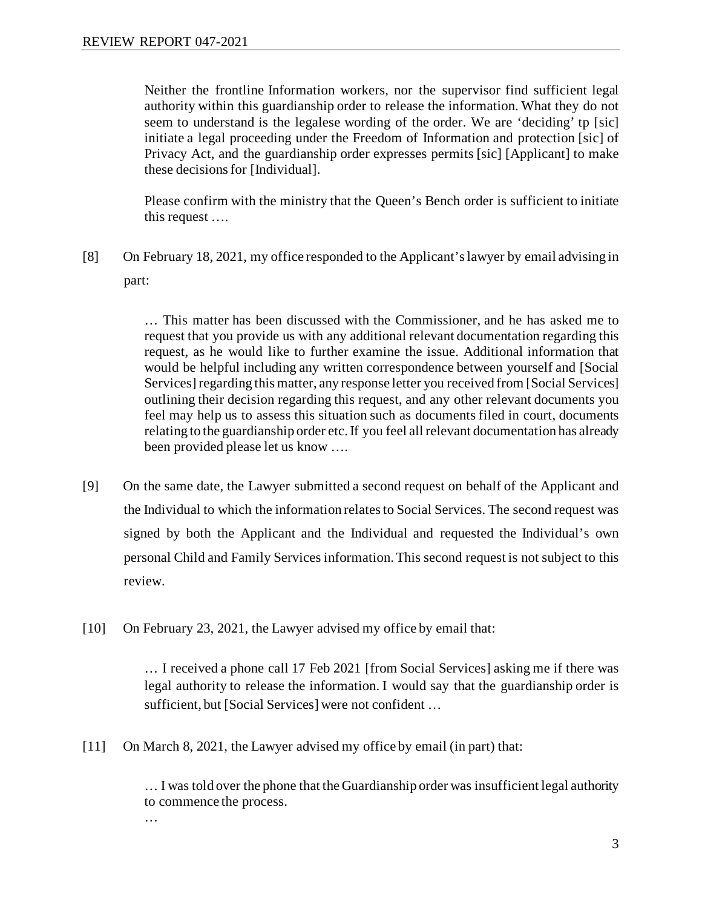Neither the frontline Information workers, nor the supervisor find sufficient legal authority within this guardianship order to release the information. What they do not seem to understand is the legalese wording of the order. We are 'deciding' tp [sic] initiate a legal proceeding under the Freedom of Information and protection [sic] of Privacy Act, and the guardianship order expresses permits [sic] [Applicant] to make these decisions for [Individual].

Please confirm with the ministry that the Queen's Bench order is sufficient to initiate this request ….

[8] On February 18, 2021, my office responded to the Applicant's lawyer by email advising in part:

> … This matter has been discussed with the Commissioner, and he has asked me to request that you provide us with any additional relevant documentation regarding this request, as he would like to further examine the issue. Additional information that would be helpful including any written correspondence between yourself and [Social Services] regarding this matter, any response letter you received from [Social Services] outlining their decision regarding this request, and any other relevant documents you feel may help us to assess this situation such as documents filed in court, documents relating to the guardianship order etc. If you feel all relevant documentation has already been provided please let us know ….

- [9] On the same date, the Lawyer submitted a second request on behalf of the Applicant and the Individual to which the information relates to Social Services. The second request was signed by both the Applicant and the Individual and requested the Individual's own personal Child and Family Services information. This second request is not subject to this review.
- [10] On February 23, 2021, the Lawyer advised my office by email that:

… I received a phone call 17 Feb 2021 [from Social Services] asking me if there was legal authority to release the information. I would say that the guardianship order is sufficient, but [Social Services] were not confident …

[11] On March 8, 2021, the Lawyer advised my office by email (in part) that:

… I was told over the phone that the Guardianship order was insufficient legal authority to commence the process. …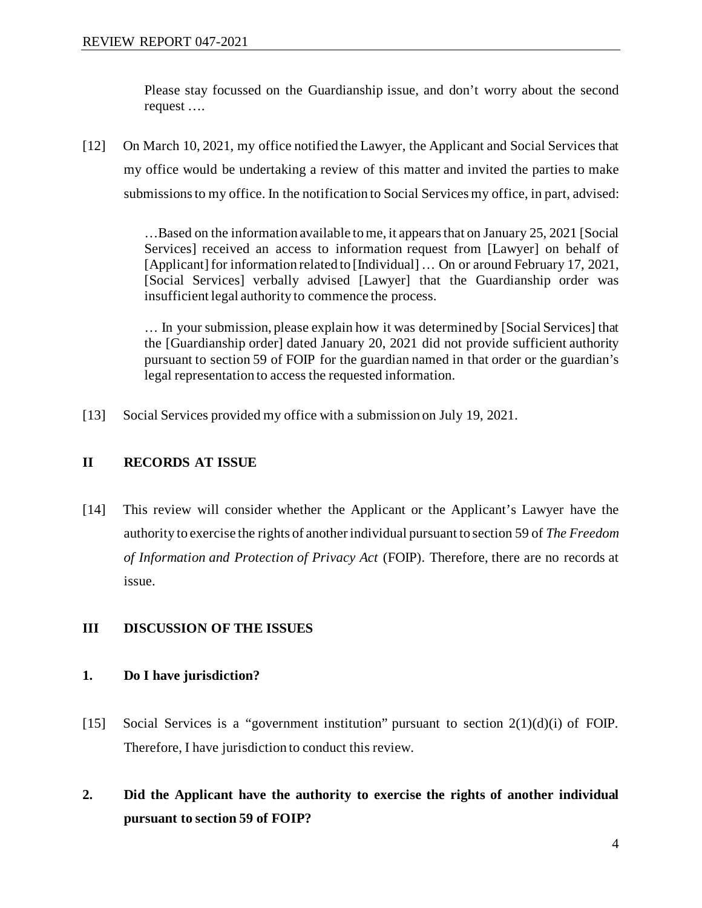Please stay focussed on the Guardianship issue, and don't worry about the second request ….

[12] On March 10, 2021, my office notified the Lawyer, the Applicant and Social Services that my office would be undertaking a review of this matter and invited the parties to make submissions to my office. In the notification to Social Services my office, in part, advised:

> …Based on the information available to me, it appears that on January 25, 2021 [Social Services] received an access to information request from [Lawyer] on behalf of [Applicant] for information related to [Individual] … On or around February 17, 2021, [Social Services] verbally advised [Lawyer] that the Guardianship order was insufficient legal authority to commence the process.

> … In your submission, please explain how it was determined by [Social Services] that the [Guardianship order] dated January 20, 2021 did not provide sufficient authority pursuant to section 59 of FOIP for the guardian named in that order or the guardian's legal representation to access the requested information.

[13] Social Services provided my office with a submission on July 19, 2021.

# **II RECORDS AT ISSUE**

[14] This review will consider whether the Applicant or the Applicant's Lawyer have the authority to exercise the rights of another individual pursuant to section 59 of *The Freedom of Information and Protection of Privacy Act* (FOIP). Therefore, there are no records at issue.

# **III DISCUSSION OF THE ISSUES**

# **1. Do I have jurisdiction?**

- [15] Social Services is a "government institution" pursuant to section 2(1)(d)(i) of FOIP. Therefore, I have jurisdiction to conduct this review.
- **2. Did the Applicant have the authority to exercise the rights of another individual pursuant to section 59 of FOIP?**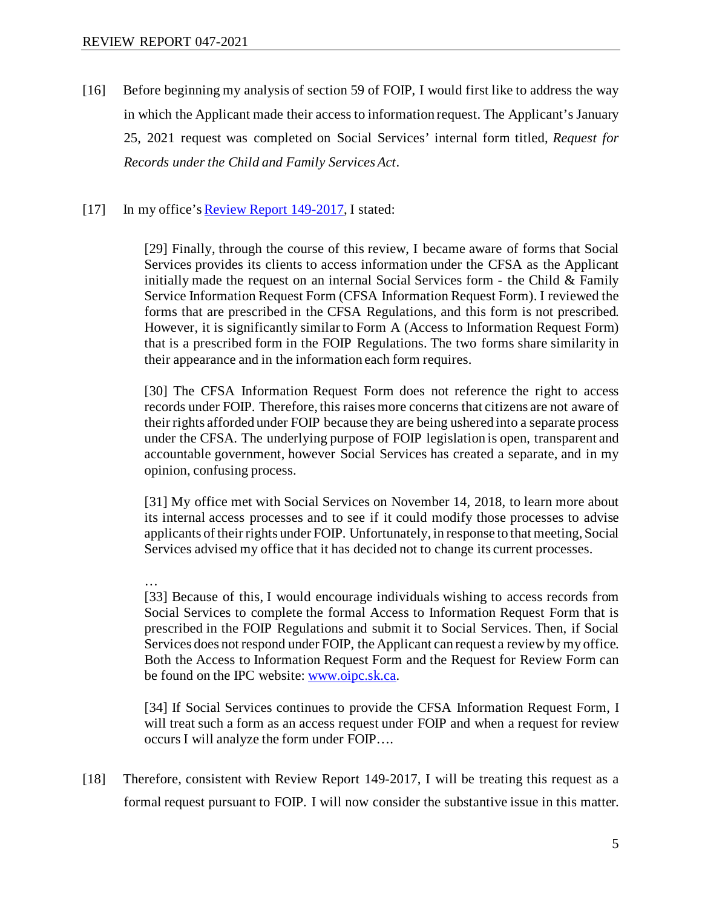[16] Before beginning my analysis of section 59 of FOIP, I would first like to address the way in which the Applicant made their access to information request. The Applicant's January 25, 2021 request was completed on Social Services' internal form titled, *Request for Records under the Child and Family Services Act*.

### [17] In my office's Review Report 149-2017, I stated:

[29] Finally, through the course of this review, I became aware of forms that Social Services provides its clients to access information under the CFSA as the Applicant initially made the request on an internal Social Services form - the Child  $&$  Family Service Information Request Form (CFSA Information Request Form). I reviewed the forms that are prescribed in the CFSA Regulations, and this form is not prescribed. However, it is significantly similar to Form A (Access to Information Request Form) that is a prescribed form in the FOIP Regulations. The two forms share similarity in their appearance and in the information each form requires.

[30] The CFSA Information Request Form does not reference the right to access records under FOIP. Therefore, this raises more concerns that citizens are not aware of their rights afforded under FOIP because they are being ushered into a separate process under the CFSA. The underlying purpose of FOIP legislation is open, transparent and accountable government, however Social Services has created a separate, and in my opinion, confusing process.

[31] My office met with Social Services on November 14, 2018, to learn more about its internal access processes and to see if it could modify those processes to advise applicants of their rights under FOIP. Unfortunately, in response to that meeting, Social Services advised my office that it has decided not to change its current processes.

#### …

[33] Because of this, I would encourage individuals wishing to access records from Social Services to complete the formal Access to Information Request Form that is prescribed in the FOIP Regulations and submit it to Social Services. Then, if Social Services does not respond under FOIP, the Applicant can request a review by my office. Both the Access to Information Request Form and the Request for Review Form can be found on the IPC website[: www.oipc.sk.ca.](http://www.oipc.sk.ca/)

[34] If Social Services continues to provide the CFSA Information Request Form, I will treat such a form as an access request under FOIP and when a request for review occurs I will analyze the form under FOIP….

[18] Therefore, consistent with Review Report 149-2017, I will be treating this request as a formal request pursuant to FOIP. I will now consider the substantive issue in this matter.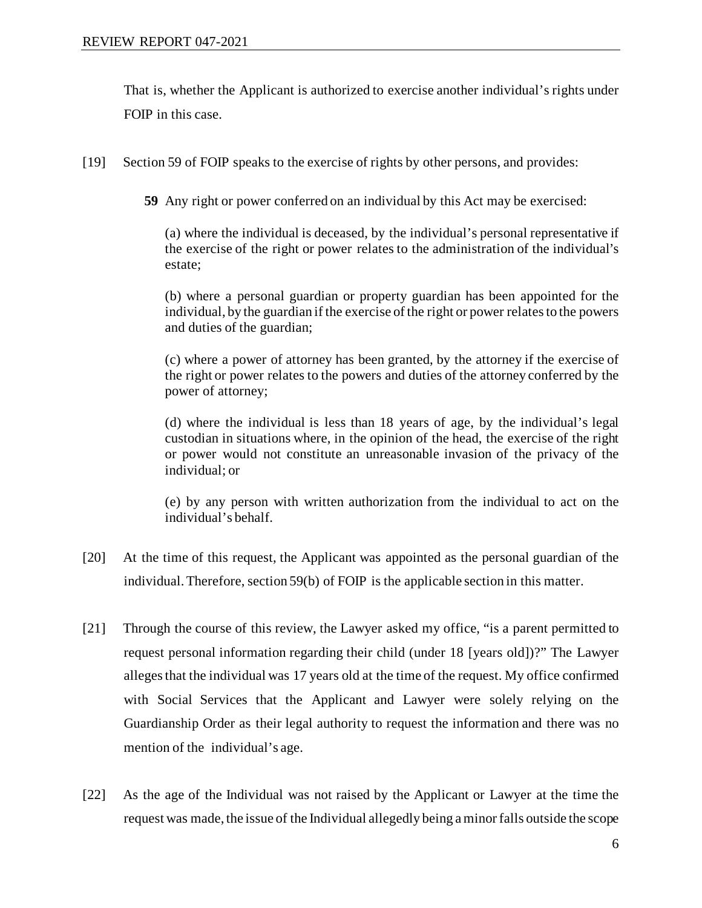That is, whether the Applicant is authorized to exercise another individual's rights under FOIP in this case.

- [19] Section 59 of FOIP speaks to the exercise of rights by other persons, and provides:
	- **59** Any right or power conferred on an individual by this Act may be exercised:

(a) where the individual is deceased, by the individual's personal representative if the exercise of the right or power relates to the administration of the individual's estate;

(b) where a personal guardian or property guardian has been appointed for the individual, by the guardian if the exercise of the right or power relates to the powers and duties of the guardian;

(c) where a power of attorney has been granted, by the attorney if the exercise of the right or power relates to the powers and duties of the attorney conferred by the power of attorney;

(d) where the individual is less than 18 years of age, by the individual's legal custodian in situations where, in the opinion of the head, the exercise of the right or power would not constitute an unreasonable invasion of the privacy of the individual; or

(e) by any person with written authorization from the individual to act on the individual's behalf.

- [20] At the time of this request, the Applicant was appointed as the personal guardian of the individual. Therefore, section 59(b) of FOIP is the applicable section in this matter.
- [21] Through the course of this review, the Lawyer asked my office, "is a parent permitted to request personal information regarding their child (under 18 [years old])?" The Lawyer alleges that the individual was 17 years old at the time of the request. My office confirmed with Social Services that the Applicant and Lawyer were solely relying on the Guardianship Order as their legal authority to request the information and there was no mention of the individual's age.
- [22] As the age of the Individual was not raised by the Applicant or Lawyer at the time the request was made, the issue of the Individual allegedly being a minor falls outside the scope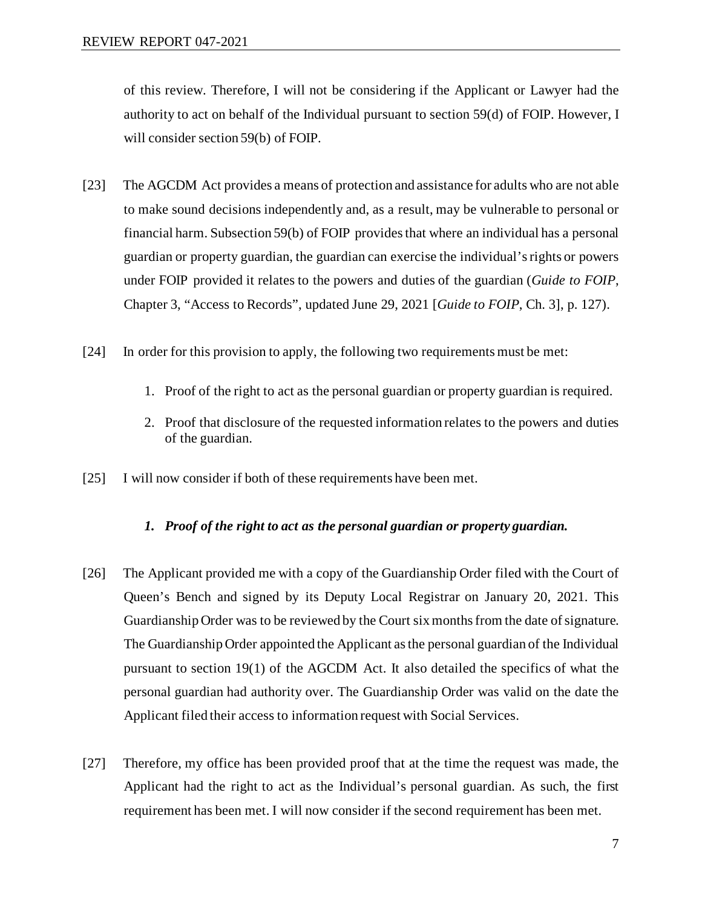of this review. Therefore, I will not be considering if the Applicant or Lawyer had the authority to act on behalf of the Individual pursuant to section 59(d) of FOIP. However, I will consider section 59(b) of FOIP.

- [23] The AGCDM Act provides a means of protection and assistance for adults who are not able to make sound decisions independently and, as a result, may be vulnerable to personal or financial harm. Subsection 59(b) of FOIP provides that where an individual has a personal guardian or property guardian, the guardian can exercise the individual's rights or powers under FOIP provided it relates to the powers and duties of the guardian (*Guide to FOIP*, Chapter 3, "Access to Records", updated June 29, 2021 [*Guide to FOIP*, Ch. 3], p. 127).
- [24] In order for this provision to apply, the following two requirements must be met:
	- 1. Proof of the right to act as the personal guardian or property guardian is required.
	- 2. Proof that disclosure of the requested information relates to the powers and duties of the guardian.
- [25] I will now consider if both of these requirements have been met.

#### *1. Proof of the right to act as the personal guardian or property guardian.*

- [26] The Applicant provided me with a copy of the Guardianship Order filed with the Court of Queen's Bench and signed by its Deputy Local Registrar on January 20, 2021. This Guardianship Order was to be reviewed by the Court six months from the date of signature. The Guardianship Order appointed the Applicant as the personal guardian of the Individual pursuant to section 19(1) of the AGCDM Act. It also detailed the specifics of what the personal guardian had authority over. The Guardianship Order was valid on the date the Applicant filed their access to information request with Social Services.
- [27] Therefore, my office has been provided proof that at the time the request was made, the Applicant had the right to act as the Individual's personal guardian. As such, the first requirement has been met. I will now consider if the second requirement has been met.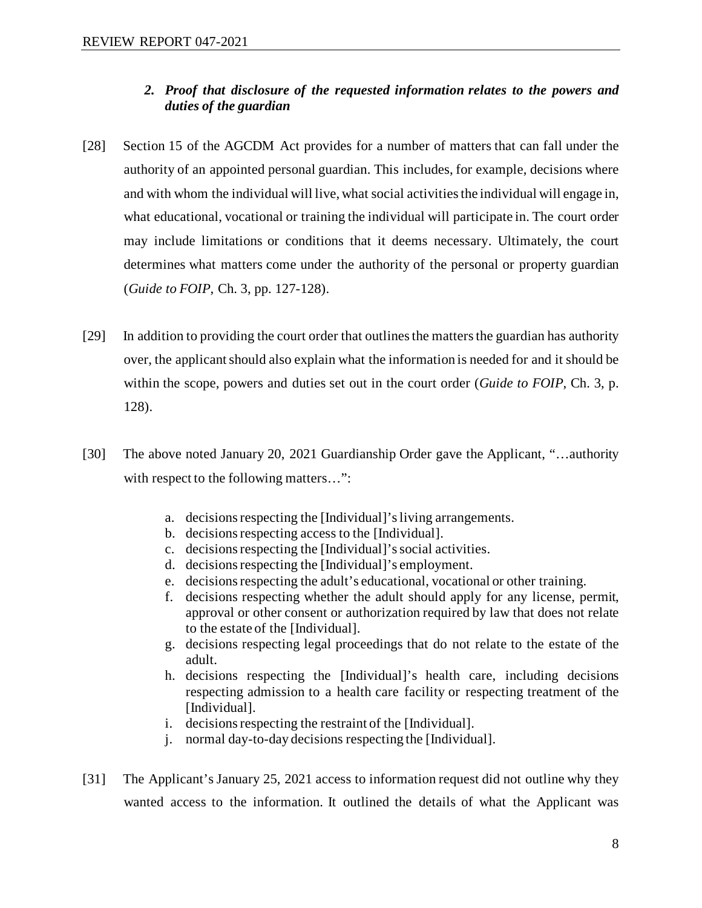# *2. Proof that disclosure of the requested information relates to the powers and duties of the guardian*

- [28] Section 15 of the AGCDM Act provides for a number of matters that can fall under the authority of an appointed personal guardian. This includes, for example, decisions where and with whom the individual will live, what social activities the individual will engage in, what educational, vocational or training the individual will participate in. The court order may include limitations or conditions that it deems necessary. Ultimately, the court determines what matters come under the authority of the personal or property guardian (*Guide to FOIP*, Ch. 3, pp. 127-128).
- [29] In addition to providing the court order that outlinesthe matters the guardian has authority over, the applicant should also explain what the information is needed for and it should be within the scope, powers and duties set out in the court order (*Guide to FOIP*, Ch. 3, p. 128).
- [30] The above noted January 20, 2021 Guardianship Order gave the Applicant, "…authority with respect to the following matters...":
	- a. decisions respecting the [Individual]'s living arrangements.
	- b. decisions respecting access to the [Individual].
	- c. decisions respecting the [Individual]'s social activities.
	- d. decisions respecting the [Individual]'s employment.
	- e. decisions respecting the adult's educational, vocational or other training.
	- f. decisions respecting whether the adult should apply for any license, permit, approval or other consent or authorization required by law that does not relate to the estate of the [Individual].
	- g. decisions respecting legal proceedings that do not relate to the estate of the adult.
	- h. decisions respecting the [Individual]'s health care, including decisions respecting admission to a health care facility or respecting treatment of the [Individual].
	- i. decisions respecting the restraint of the [Individual].
	- j. normal day-to-day decisions respecting the [Individual].
- [31] The Applicant's January 25, 2021 access to information request did not outline why they wanted access to the information. It outlined the details of what the Applicant was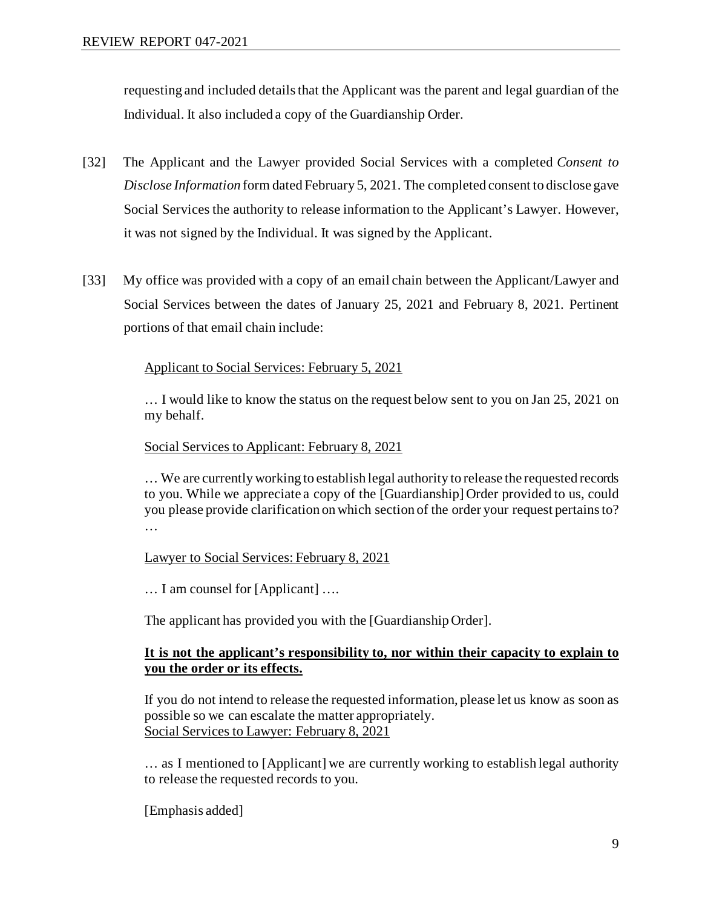requesting and included details that the Applicant was the parent and legal guardian of the Individual. It also included a copy of the Guardianship Order.

- [32] The Applicant and the Lawyer provided Social Services with a completed *Consent to Disclose Information* form dated February 5, 2021. The completed consent to disclose gave Social Services the authority to release information to the Applicant's Lawyer. However, it was not signed by the Individual. It was signed by the Applicant.
- [33] My office was provided with a copy of an email chain between the Applicant/Lawyer and Social Services between the dates of January 25, 2021 and February 8, 2021. Pertinent portions of that email chain include:

# Applicant to Social Services: February 5, 2021

… I would like to know the status on the request below sent to you on Jan 25, 2021 on my behalf.

Social Services to Applicant: February 8, 2021

… We are currently working to establish legal authority to release the requested records to you. While we appreciate a copy of the [Guardianship] Order provided to us, could you please provide clarification on which section of the order your request pertains to? …

Lawyer to Social Services: February 8, 2021

… I am counsel for [Applicant] ….

The applicant has provided you with the [Guardianship Order].

# **It is not the applicant's responsibility to, nor within their capacity to explain to you the order or its effects.**

If you do not intend to release the requested information, please let us know as soon as possible so we can escalate the matter appropriately. Social Services to Lawyer: February 8, 2021

… as I mentioned to [Applicant] we are currently working to establish legal authority to release the requested records to you.

[Emphasis added]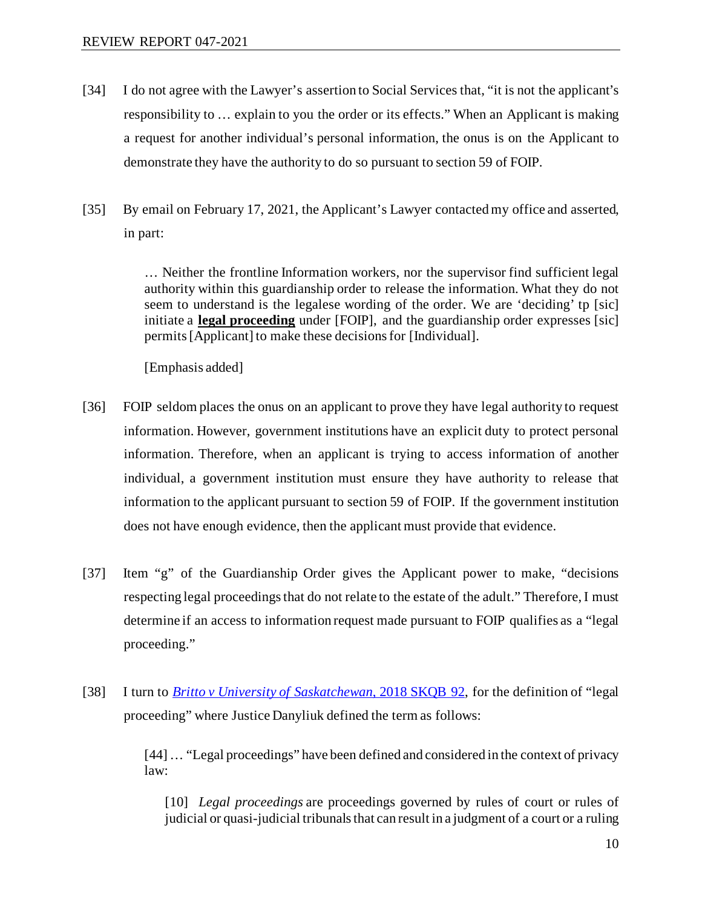- [34] I do not agree with the Lawyer's assertion to Social Services that, "it is not the applicant's responsibility to … explain to you the order or its effects." When an Applicant is making a request for another individual's personal information, the onus is on the Applicant to demonstrate they have the authority to do so pursuant to section 59 of FOIP.
- [35] By email on February 17, 2021, the Applicant's Lawyer contacted my office and asserted, in part:

… Neither the frontline Information workers, nor the supervisor find sufficient legal authority within this guardianship order to release the information. What they do not seem to understand is the legalese wording of the order. We are 'deciding' tp [sic] initiate a **legal proceeding** under [FOIP], and the guardianship order expresses [sic] permits [Applicant] to make these decisions for [Individual].

[Emphasis added]

- [36] FOIP seldom places the onus on an applicant to prove they have legal authority to request information. However, government institutions have an explicit duty to protect personal information. Therefore, when an applicant is trying to access information of another individual, a government institution must ensure they have authority to release that information to the applicant pursuant to section 59 of FOIP. If the government institution does not have enough evidence, then the applicant must provide that evidence.
- [37] Item "g" of the Guardianship Order gives the Applicant power to make, "decisions respecting legal proceedings that do not relate to the estate of the adult." Therefore, I must determine if an access to information request made pursuant to FOIP qualifies as a "legal proceeding."
- [38] I turn to *[Britto v University of Saskatchewan](https://www.canlii.org/en/sk/skqb/doc/2018/2018skqb92/2018skqb92.html?autocompleteStr=%20Britto%20v%20University%20of%20Saskatchewan%2C%202018%20SKQB%2092%20&autocompletePos=1)*, 2018 SKQB 92, for the definition of "legal proceeding" where Justice Danyliuk defined the term as follows:

[44] … "Legal proceedings" have been defined and considered in the context of privacy law:

[10] *Legal proceedings* are proceedings governed by rules of court or rules of judicial or quasi-judicial tribunals that can result in a judgment of a court or a ruling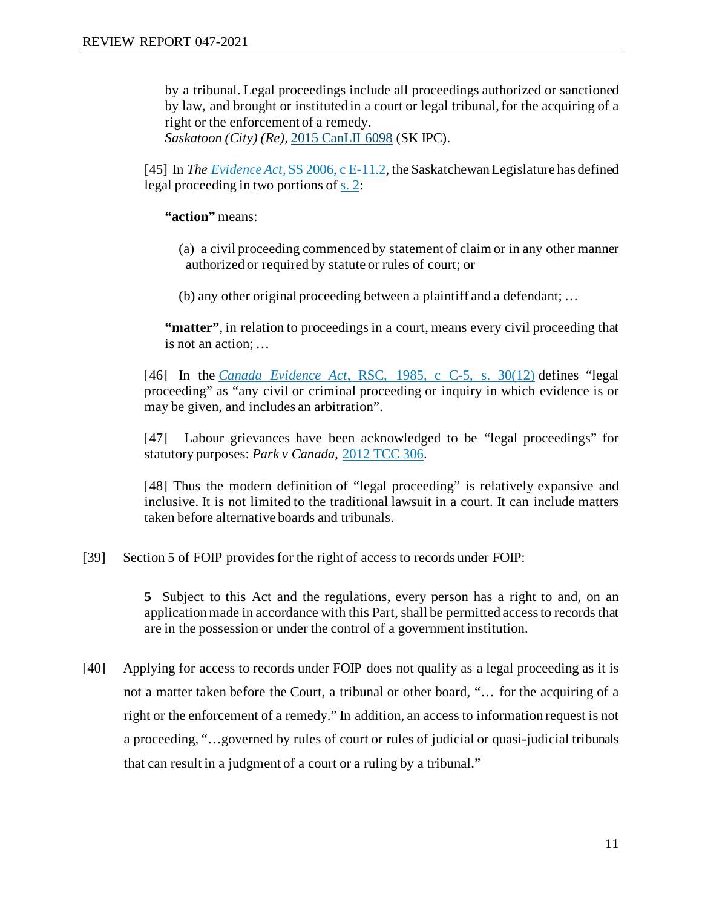by a tribunal. Legal proceedings include all proceedings authorized or sanctioned by law, and brought or instituted in a court or legal tribunal, for the acquiring of a right or the enforcement of a remedy.

*Saskatoon (City) (Re),* [2015 CanLII 6098](https://www.canlii.org/en/sk/skipc/doc/2015/2015canlii6098/2015canlii6098.html) (SK IPC).

[45] In *The Evidence Act*[, SS 2006, c E-11.2,](https://www.canlii.org/en/sk/laws/stat/ss-2006-c-e-11.2/latest/ss-2006-c-e-11.2.html) the Saskatchewan Legislature has defined legal proceeding in two portions of [s. 2:](https://www.canlii.org/en/sk/laws/stat/ss-2006-c-e-11.2/latest/ss-2006-c-e-11.2.html#sec2_smooth)

**"action"** means:

 (a) a civil proceeding commenced by statement of claim or in any other manner authorized or required by statute or rules of court; or

(b) any other original proceeding between a plaintiff and a defendant; …

**"matter"**, in relation to proceedings in a court, means every civil proceeding that is not an action; …

[46] In the *Canada Evidence Act*[, RSC, 1985, c C-5, s. 30\(12\)](https://www.canlii.org/en/ca/laws/stat/rsc-1985-c-c-5/latest/rsc-1985-c-c-5.html#sec30subsec12_smooth) defines "legal proceeding" as "any civil or criminal proceeding or inquiry in which evidence is or may be given, and includes an arbitration".

[47] Labour grievances have been acknowledged to be "legal proceedings" for statutory purposes: *Park v Canada*, [2012 TCC 306.](https://www.canlii.org/en/ca/tcc/doc/2012/2012tcc306/2012tcc306.html)

[48] Thus the modern definition of "legal proceeding" is relatively expansive and inclusive. It is not limited to the traditional lawsuit in a court. It can include matters taken before alternative boards and tribunals.

[39] Section 5 of FOIP provides for the right of access to records under FOIP:

**5** Subject to this Act and the regulations, every person has a right to and, on an applicationmade in accordance with this Part, shall be permitted access to records that are in the possession or under the control of a government institution.

[40] Applying for access to records under FOIP does not qualify as a legal proceeding as it is not a matter taken before the Court, a tribunal or other board, "… for the acquiring of a right or the enforcement of a remedy." In addition, an access to information request is not a proceeding, "…governed by rules of court or rules of judicial or quasi-judicial tribunals that can result in a judgment of a court or a ruling by a tribunal."